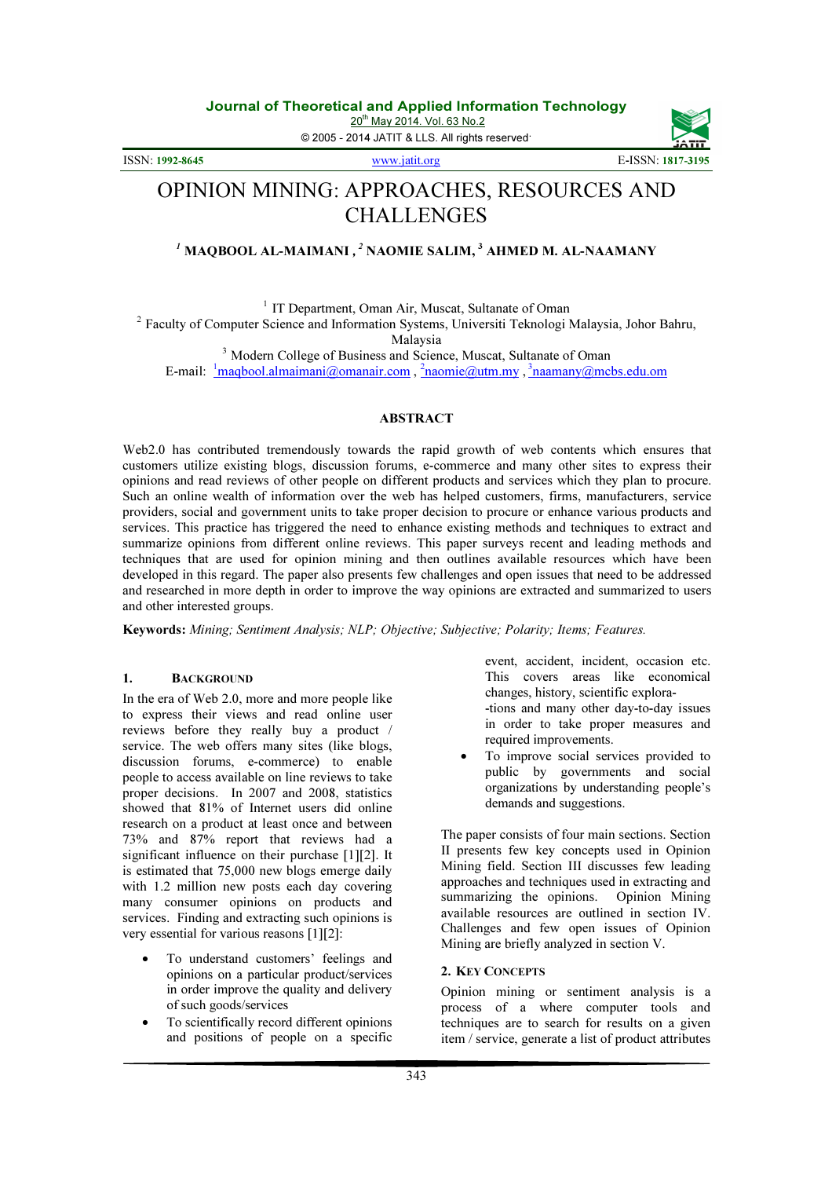20<sup>th</sup> May 2014. Vol. 63 No.2

© 2005 - 2014 JATIT & LLS. All rights reserved.

ISSN: 1992-8645 www.jatit.org E-ISSN: 1817-3195

# OPINION MINING: APPROACHES, RESOURCES AND CHALLENGES

# $^I$  MAQBOOL AL-MAIMANI ,  $^2$  NAOMIE SALIM,  $^3$  AHMED M. AL-NAAMANY

<sup>1</sup> IT Department, Oman Air, Muscat, Sultanate of Oman

<sup>2</sup> Faculty of Computer Science and Information Systems, Universiti Teknologi Malaysia, Johor Bahru, Malaysia

<sup>3</sup> Modern College of Business and Science, Muscat, Sultanate of Oman E-mail:  $\frac{1}{2}$ maqbool.almaimani@omanair.com,  $\frac{2}{2}$ naomie@utm.my,  $\frac{3}{2}$ naamany@mcbs.edu.om

## ABSTRACT

Web2.0 has contributed tremendously towards the rapid growth of web contents which ensures that customers utilize existing blogs, discussion forums, e-commerce and many other sites to express their opinions and read reviews of other people on different products and services which they plan to procure. Such an online wealth of information over the web has helped customers, firms, manufacturers, service providers, social and government units to take proper decision to procure or enhance various products and services. This practice has triggered the need to enhance existing methods and techniques to extract and summarize opinions from different online reviews. This paper surveys recent and leading methods and techniques that are used for opinion mining and then outlines available resources which have been developed in this regard. The paper also presents few challenges and open issues that need to be addressed and researched in more depth in order to improve the way opinions are extracted and summarized to users and other interested groups.

Keywords: Mining; Sentiment Analysis; NLP; Objective; Subjective; Polarity; Items; Features.

# 1. BACKGROUND

In the era of Web 2.0, more and more people like to express their views and read online user reviews before they really buy a product / service. The web offers many sites (like blogs, discussion forums, e-commerce) to enable people to access available on line reviews to take proper decisions. In 2007 and 2008, statistics showed that 81% of Internet users did online research on a product at least once and between 73% and 87% report that reviews had a significant influence on their purchase [1][2]. It is estimated that 75,000 new blogs emerge daily with 1.2 million new posts each day covering many consumer opinions on products and services. Finding and extracting such opinions is very essential for various reasons [1][2]:

- To understand customers' feelings and opinions on a particular product/services in order improve the quality and delivery of such goods/services
- To scientifically record different opinions and positions of people on a specific

event, accident, incident, occasion etc. This covers areas like economical changes, history, scientific explora- -tions and many other day-to-day issues in order to take proper measures and required improvements.

• To improve social services provided to public by governments and social organizations by understanding people's demands and suggestions.

The paper consists of four main sections. Section II presents few key concepts used in Opinion Mining field. Section III discusses few leading approaches and techniques used in extracting and summarizing the opinions. Opinion Mining available resources are outlined in section IV. Challenges and few open issues of Opinion Mining are briefly analyzed in section V.

# 2. KEY CONCEPTS

Opinion mining or sentiment analysis is a process of a where computer tools and techniques are to search for results on a given item / service, generate a list of product attributes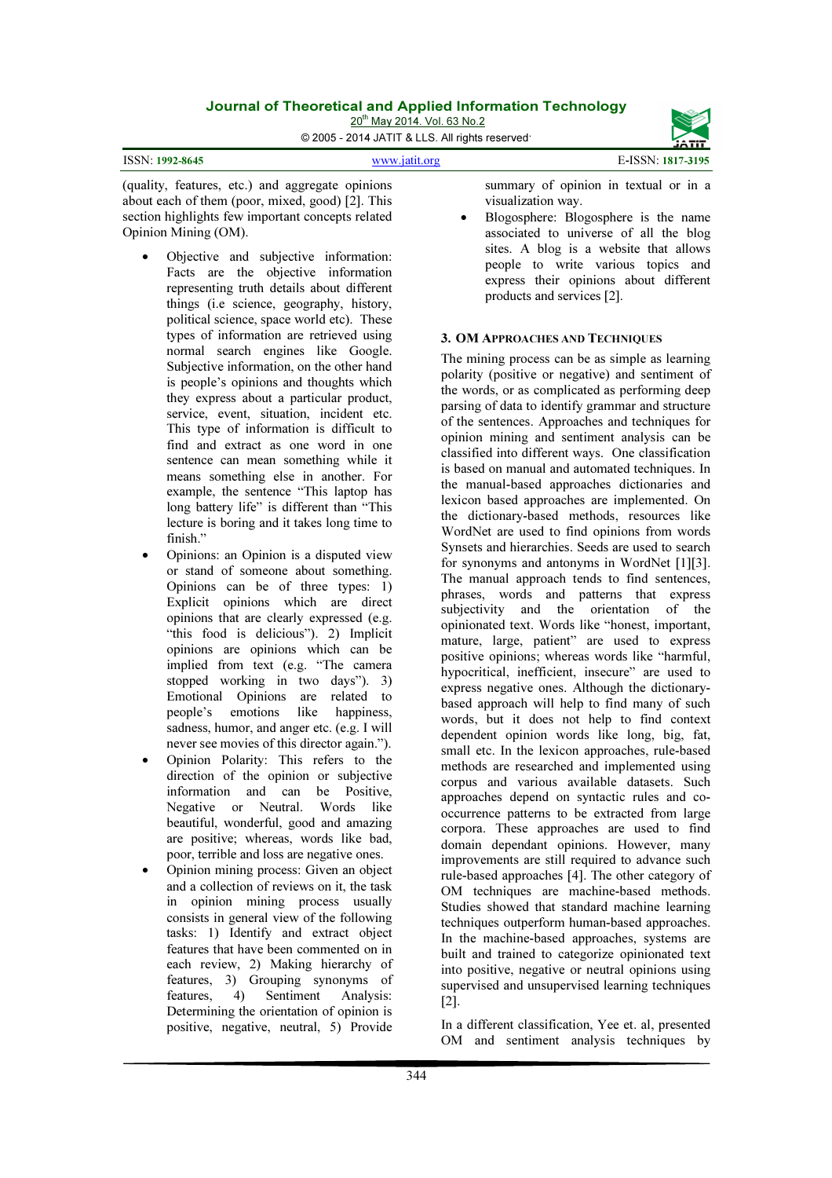20<sup>th</sup> May 2014. Vol. 63 No.2 © 2005 - 2014 JATIT & LLS. All rights reserved.



#### ISSN: 1992-8645 www.jatit.org E-ISSN: 1817-3195

(quality, features, etc.) and aggregate opinions about each of them (poor, mixed, good) [2]. This section highlights few important concepts related Opinion Mining (OM).

- Objective and subjective information: Facts are the objective information representing truth details about different things (i.e science, geography, history, political science, space world etc). These types of information are retrieved using normal search engines like Google. Subjective information, on the other hand is people's opinions and thoughts which they express about a particular product, service, event, situation, incident etc. This type of information is difficult to find and extract as one word in one sentence can mean something while it means something else in another. For example, the sentence "This laptop has long battery life" is different than "This lecture is boring and it takes long time to finish."
- Opinions: an Opinion is a disputed view or stand of someone about something. Opinions can be of three types: 1) Explicit opinions which are direct opinions that are clearly expressed (e.g. "this food is delicious"). 2) Implicit opinions are opinions which can be implied from text (e.g. "The camera stopped working in two days"). 3) Emotional Opinions are related to people's emotions like happiness, sadness, humor, and anger etc. (e.g. I will never see movies of this director again.").
- Opinion Polarity: This refers to the direction of the opinion or subjective information and can be Positive, Negative or Neutral. Words like beautiful, wonderful, good and amazing are positive; whereas, words like bad, poor, terrible and loss are negative ones.
- Opinion mining process: Given an object and a collection of reviews on it, the task in opinion mining process usually consists in general view of the following tasks: 1) Identify and extract object features that have been commented on in each review, 2) Making hierarchy of features, 3) Grouping synonyms of features, 4) Sentiment Analysis: Determining the orientation of opinion is positive, negative, neutral, 5) Provide

summary of opinion in textual or in a visualization way.

• Blogosphere: Blogosphere is the name associated to universe of all the blog sites. A blog is a website that allows people to write various topics and express their opinions about different products and services [2].

# 3. OM APPROACHES AND TECHNIQUES

The mining process can be as simple as learning polarity (positive or negative) and sentiment of the words, or as complicated as performing deep parsing of data to identify grammar and structure of the sentences. Approaches and techniques for opinion mining and sentiment analysis can be classified into different ways. One classification is based on manual and automated techniques. In the manual-based approaches dictionaries and lexicon based approaches are implemented. On the dictionary-based methods, resources like WordNet are used to find opinions from words Synsets and hierarchies. Seeds are used to search for synonyms and antonyms in WordNet [1][3]. The manual approach tends to find sentences, phrases, words and patterns that express subjectivity and the orientation of the opinionated text. Words like "honest, important, mature, large, patient" are used to express positive opinions; whereas words like "harmful, hypocritical, inefficient, insecure" are used to express negative ones. Although the dictionarybased approach will help to find many of such words, but it does not help to find context dependent opinion words like long, big, fat, small etc. In the lexicon approaches, rule-based methods are researched and implemented using corpus and various available datasets. Such approaches depend on syntactic rules and cooccurrence patterns to be extracted from large corpora. These approaches are used to find domain dependant opinions. However, many improvements are still required to advance such rule-based approaches [4]. The other category of OM techniques are machine-based methods. Studies showed that standard machine learning techniques outperform human-based approaches. In the machine-based approaches, systems are built and trained to categorize opinionated text into positive, negative or neutral opinions using supervised and unsupervised learning techniques [2].

In a different classification, Yee et. al, presented OM and sentiment analysis techniques by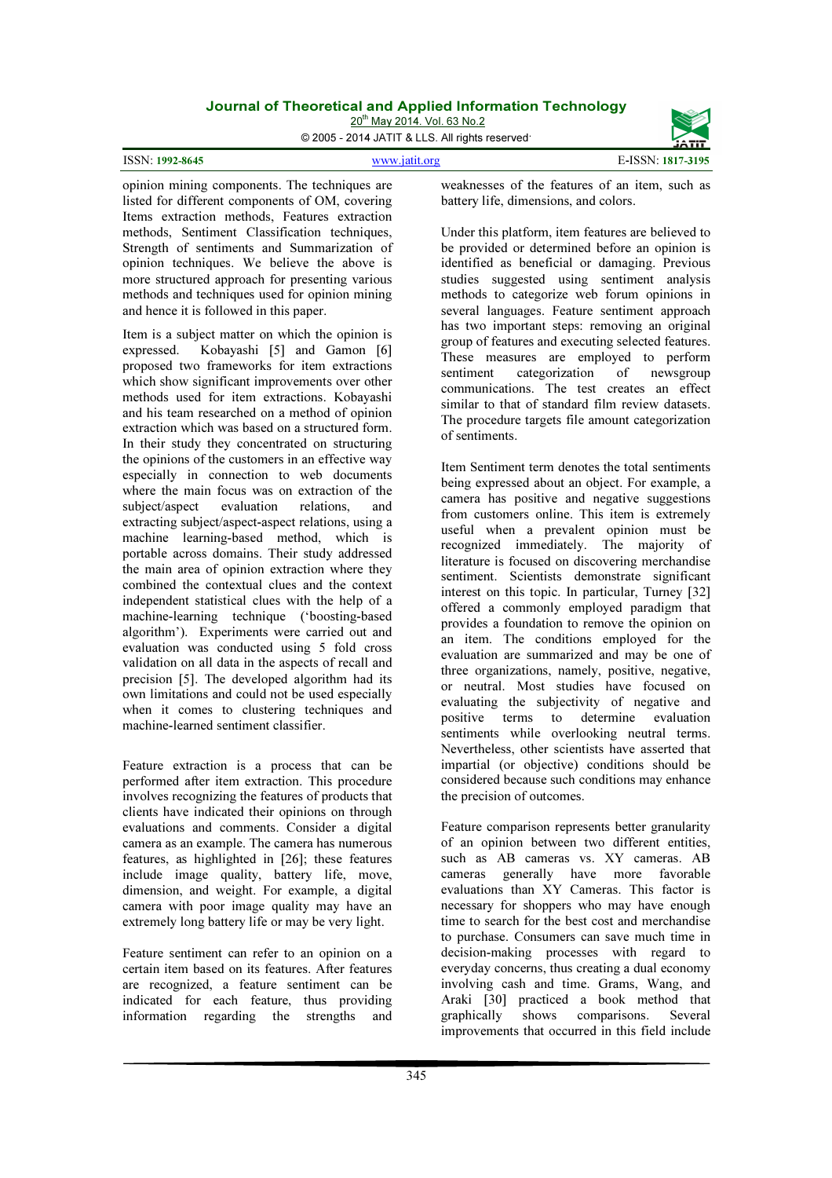20<sup>th</sup> May 2014. Vol. 63 No.2

© 2005 - 2014 JATIT & LLS. All rights reserved.



opinion mining components. The techniques are listed for different components of OM, covering Items extraction methods, Features extraction methods, Sentiment Classification techniques, Strength of sentiments and Summarization of opinion techniques. We believe the above is more structured approach for presenting various methods and techniques used for opinion mining and hence it is followed in this paper.

Item is a subject matter on which the opinion is expressed. Kobayashi [5] and Gamon [6] proposed two frameworks for item extractions which show significant improvements over other methods used for item extractions. Kobayashi and his team researched on a method of opinion extraction which was based on a structured form. In their study they concentrated on structuring the opinions of the customers in an effective way especially in connection to web documents where the main focus was on extraction of the subject/aspect evaluation relations, and extracting subject/aspect-aspect relations, using a machine learning-based method, which is portable across domains. Their study addressed the main area of opinion extraction where they combined the contextual clues and the context independent statistical clues with the help of a machine-learning technique ('boosting-based algorithm'). Experiments were carried out and evaluation was conducted using 5 fold cross validation on all data in the aspects of recall and precision [5]. The developed algorithm had its own limitations and could not be used especially when it comes to clustering techniques and machine-learned sentiment classifier.

Feature extraction is a process that can be performed after item extraction. This procedure involves recognizing the features of products that clients have indicated their opinions on through evaluations and comments. Consider a digital camera as an example. The camera has numerous features, as highlighted in [26]; these features include image quality, battery life, move, dimension, and weight. For example, a digital camera with poor image quality may have an extremely long battery life or may be very light.

Feature sentiment can refer to an opinion on a certain item based on its features. After features are recognized, a feature sentiment can be indicated for each feature, thus providing information regarding the strengths and

weaknesses of the features of an item, such as battery life, dimensions, and colors.

Under this platform, item features are believed to be provided or determined before an opinion is identified as beneficial or damaging. Previous studies suggested using sentiment analysis methods to categorize web forum opinions in several languages. Feature sentiment approach has two important steps: removing an original group of features and executing selected features. These measures are employed to perform sentiment categorization of newsgroup communications. The test creates an effect similar to that of standard film review datasets. The procedure targets file amount categorization of sentiments.

Item Sentiment term denotes the total sentiments being expressed about an object. For example, a camera has positive and negative suggestions from customers online. This item is extremely useful when a prevalent opinion must be recognized immediately. The majority of literature is focused on discovering merchandise sentiment. Scientists demonstrate significant interest on this topic. In particular, Turney [32] offered a commonly employed paradigm that provides a foundation to remove the opinion on an item. The conditions employed for the evaluation are summarized and may be one of three organizations, namely, positive, negative, or neutral. Most studies have focused on evaluating the subjectivity of negative and positive terms to determine evaluation sentiments while overlooking neutral terms. Nevertheless, other scientists have asserted that impartial (or objective) conditions should be considered because such conditions may enhance the precision of outcomes.

Feature comparison represents better granularity of an opinion between two different entities, such as AB cameras vs. XY cameras. AB cameras generally have more favorable evaluations than XY Cameras. This factor is necessary for shoppers who may have enough time to search for the best cost and merchandise to purchase. Consumers can save much time in decision-making processes with regard to everyday concerns, thus creating a dual economy involving cash and time. Grams, Wang, and Araki [30] practiced a book method that<br>graphically shows comparisons. Several shows comparisons. Several improvements that occurred in this field include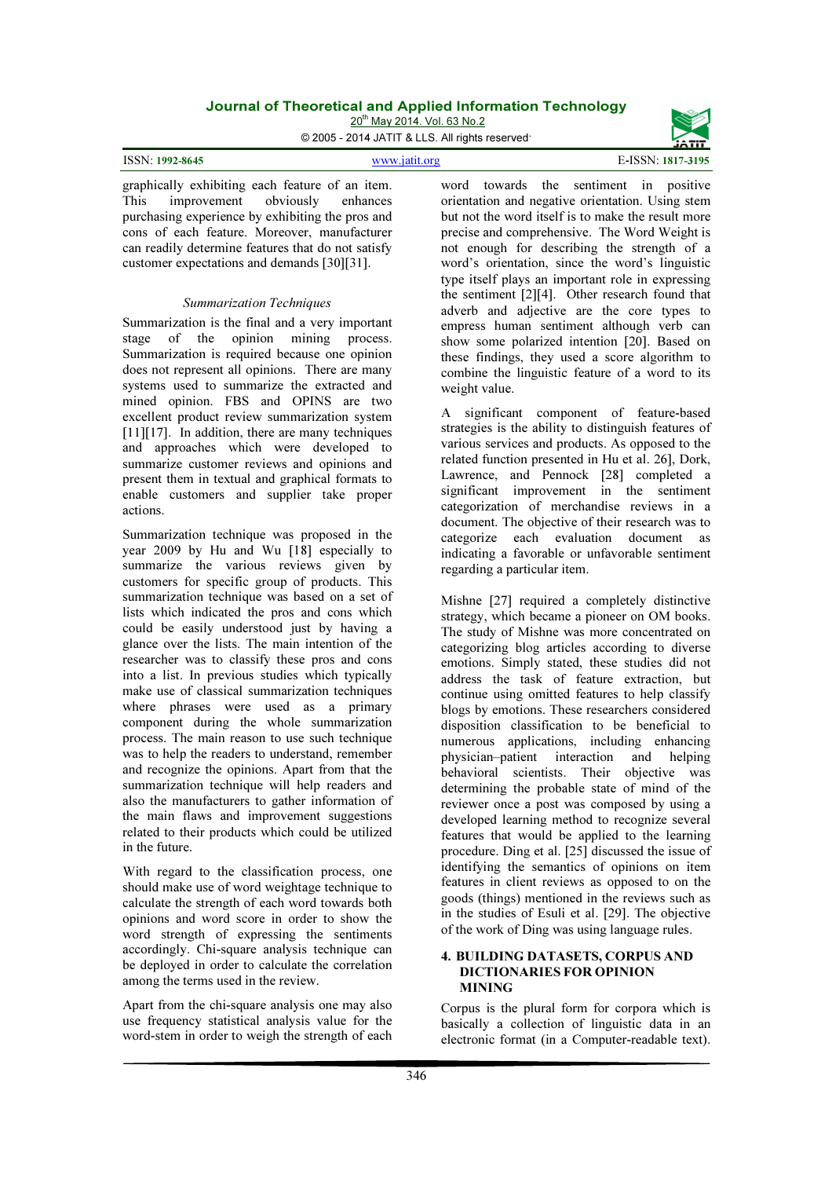20<sup>th</sup> May 2014. Vol. 63 No.2

© 2005 - 2014 JATIT & LLS. All rights reserved.

| <b>ISSN: 1992-8645</b><br>E-ISSN: 1817-3195<br>www.jatit.org |
|--------------------------------------------------------------|
|--------------------------------------------------------------|

graphically exhibiting each feature of an item. This improvement obviously enhances purchasing experience by exhibiting the pros and cons of each feature. Moreover, manufacturer can readily determine features that do not satisfy customer expectations and demands [30][31].

#### Summarization Techniques

Summarization is the final and a very important stage of the opinion mining process. Summarization is required because one opinion does not represent all opinions. There are many systems used to summarize the extracted and mined opinion. FBS and OPINS are two excellent product review summarization system [11][17]. In addition, there are many techniques and approaches which were developed to summarize customer reviews and opinions and present them in textual and graphical formats to enable customers and supplier take proper actions.

Summarization technique was proposed in the year 2009 by Hu and Wu [18] especially to summarize the various reviews given by customers for specific group of products. This summarization technique was based on a set of lists which indicated the pros and cons which could be easily understood just by having a glance over the lists. The main intention of the researcher was to classify these pros and cons into a list. In previous studies which typically make use of classical summarization techniques where phrases were used as a primary component during the whole summarization process. The main reason to use such technique was to help the readers to understand, remember and recognize the opinions. Apart from that the summarization technique will help readers and also the manufacturers to gather information of the main flaws and improvement suggestions related to their products which could be utilized in the future.

With regard to the classification process, one should make use of word weightage technique to calculate the strength of each word towards both opinions and word score in order to show the word strength of expressing the sentiments accordingly. Chi-square analysis technique can be deployed in order to calculate the correlation among the terms used in the review.

Apart from the chi-square analysis one may also use frequency statistical analysis value for the word-stem in order to weigh the strength of each

word towards the sentiment in positive orientation and negative orientation. Using stem but not the word itself is to make the result more precise and comprehensive. The Word Weight is not enough for describing the strength of a word's orientation, since the word's linguistic type itself plays an important role in expressing the sentiment [2][4]. Other research found that adverb and adjective are the core types to empress human sentiment although verb can show some polarized intention [20]. Based on these findings, they used a score algorithm to combine the linguistic feature of a word to its weight value.

A significant component of feature-based strategies is the ability to distinguish features of various services and products. As opposed to the related function presented in Hu et al. 26], Dork, Lawrence, and Pennock [28] completed a significant improvement in the sentiment categorization of merchandise reviews in a document. The objective of their research was to categorize each evaluation document as indicating a favorable or unfavorable sentiment regarding a particular item.

Mishne [27] required a completely distinctive strategy, which became a pioneer on OM books. The study of Mishne was more concentrated on categorizing blog articles according to diverse emotions. Simply stated, these studies did not address the task of feature extraction, but continue using omitted features to help classify blogs by emotions. These researchers considered disposition classification to be beneficial to numerous applications, including enhancing physician–patient interaction and helping behavioral scientists. Their objective was determining the probable state of mind of the reviewer once a post was composed by using a developed learning method to recognize several features that would be applied to the learning procedure. Ding et al. [25] discussed the issue of identifying the semantics of opinions on item features in client reviews as opposed to on the goods (things) mentioned in the reviews such as in the studies of Esuli et al. [29]. The objective of the work of Ding was using language rules.

## 4. BUILDING DATASETS, CORPUS AND DICTIONARIES FOR OPINION **MINING**

Corpus is the plural form for corpora which is basically a collection of linguistic data in an electronic format (in a Computer-readable text).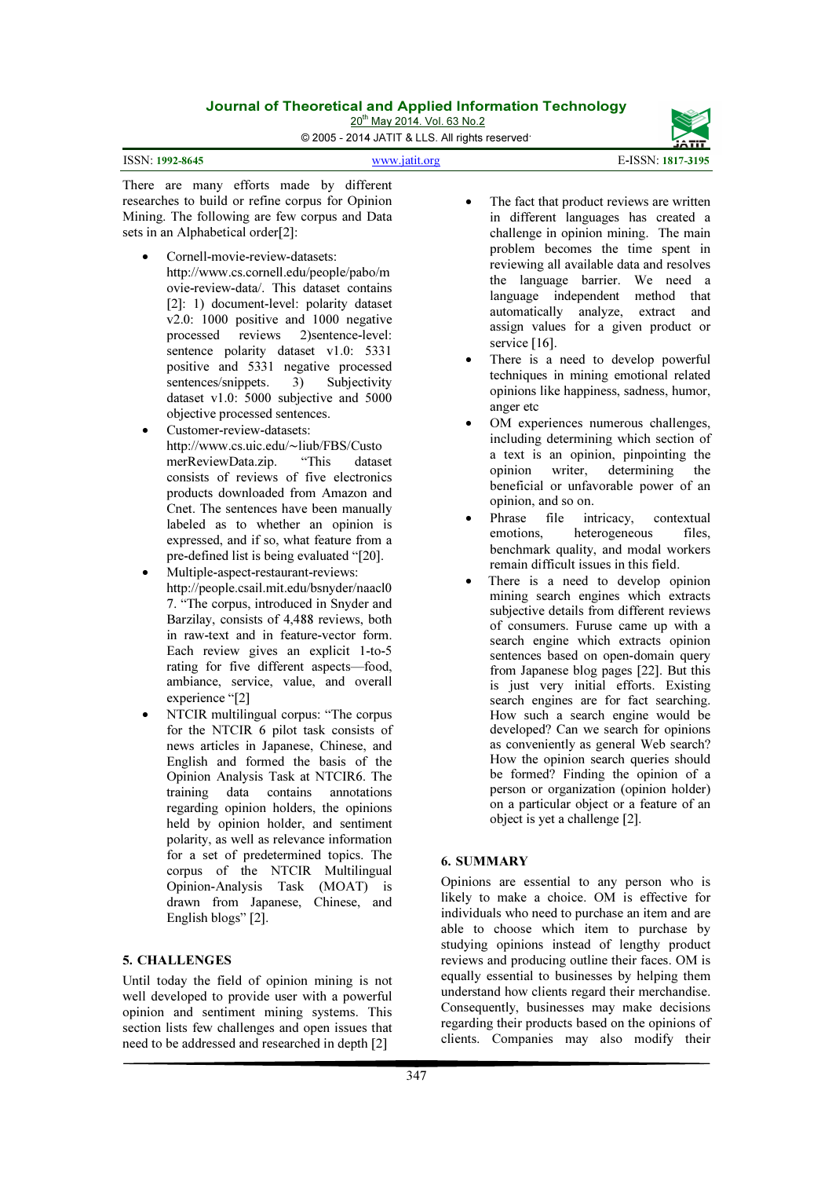20<sup>th</sup> May 2014. Vol. 63 No.2

© 2005 - 2014 JATIT & LLS. All rights reserved.

ISSN: 1992-8645 www.jatit.org E-ISSN: 1817-3195



There are many efforts made by different researches to build or refine corpus for Opinion Mining. The following are few corpus and Data sets in an Alphabetical order[2]:

- Cornell-movie-review-datasets: http://www.cs.cornell.edu/people/pabo/m ovie-review-data/. This dataset contains [2]: 1) document-level: polarity dataset v2.0: 1000 positive and 1000 negative processed reviews 2)sentence-level: sentence polarity dataset v1.0: 5331 positive and 5331 negative processed sentences/snippets. 3) Subjectivity dataset v1.0: 5000 subjective and 5000 objective processed sentences.
- Customer-review-datasets: http://www.cs.uic.edu/∼liub/FBS/Custo<br>merReviewData.zin. "This datase merReviewData.zip. "This dataset consists of reviews of five electronics products downloaded from Amazon and Cnet. The sentences have been manually labeled as to whether an opinion is expressed, and if so, what feature from a pre-defined list is being evaluated "[20].
- Multiple-aspect-restaurant-reviews: http://people.csail.mit.edu/bsnyder/naacl0 7. "The corpus, introduced in Snyder and Barzilay, consists of 4,488 reviews, both in raw-text and in feature-vector form. Each review gives an explicit 1-to-5 rating for five different aspects—food, ambiance, service, value, and overall experience "[2]
- NTCIR multilingual corpus: "The corpus for the NTCIR 6 pilot task consists of news articles in Japanese, Chinese, and English and formed the basis of the Opinion Analysis Task at NTCIR6. The training data contains annotations regarding opinion holders, the opinions held by opinion holder, and sentiment polarity, as well as relevance information for a set of predetermined topics. The corpus of the NTCIR Multilingual Opinion-Analysis Task (MOAT) is drawn from Japanese, Chinese, and English blogs" [2].

# 5. CHALLENGES

Until today the field of opinion mining is not well developed to provide user with a powerful opinion and sentiment mining systems. This section lists few challenges and open issues that need to be addressed and researched in depth [2]

- The fact that product reviews are written in different languages has created a challenge in opinion mining. The main problem becomes the time spent in reviewing all available data and resolves the language barrier. We need a language independent method that automatically analyze, extract and assign values for a given product or service [16].
- There is a need to develop powerful techniques in mining emotional related opinions like happiness, sadness, humor, anger etc
- OM experiences numerous challenges, including determining which section of a text is an opinion, pinpointing the opinion writer, determining the beneficial or unfavorable power of an opinion, and so on.
- Phrase file intricacy, contextual emotions, heterogeneous files, benchmark quality, and modal workers remain difficult issues in this field.
- There is a need to develop opinion mining search engines which extracts subjective details from different reviews of consumers. Furuse came up with a search engine which extracts opinion sentences based on open-domain query from Japanese blog pages [22]. But this is just very initial efforts. Existing search engines are for fact searching. How such a search engine would be developed? Can we search for opinions as conveniently as general Web search? How the opinion search queries should be formed? Finding the opinion of a person or organization (opinion holder) on a particular object or a feature of an object is yet a challenge [2].

# 6. SUMMARY

Opinions are essential to any person who is likely to make a choice. OM is effective for individuals who need to purchase an item and are able to choose which item to purchase by studying opinions instead of lengthy product reviews and producing outline their faces. OM is equally essential to businesses by helping them understand how clients regard their merchandise. Consequently, businesses may make decisions regarding their products based on the opinions of clients. Companies may also modify their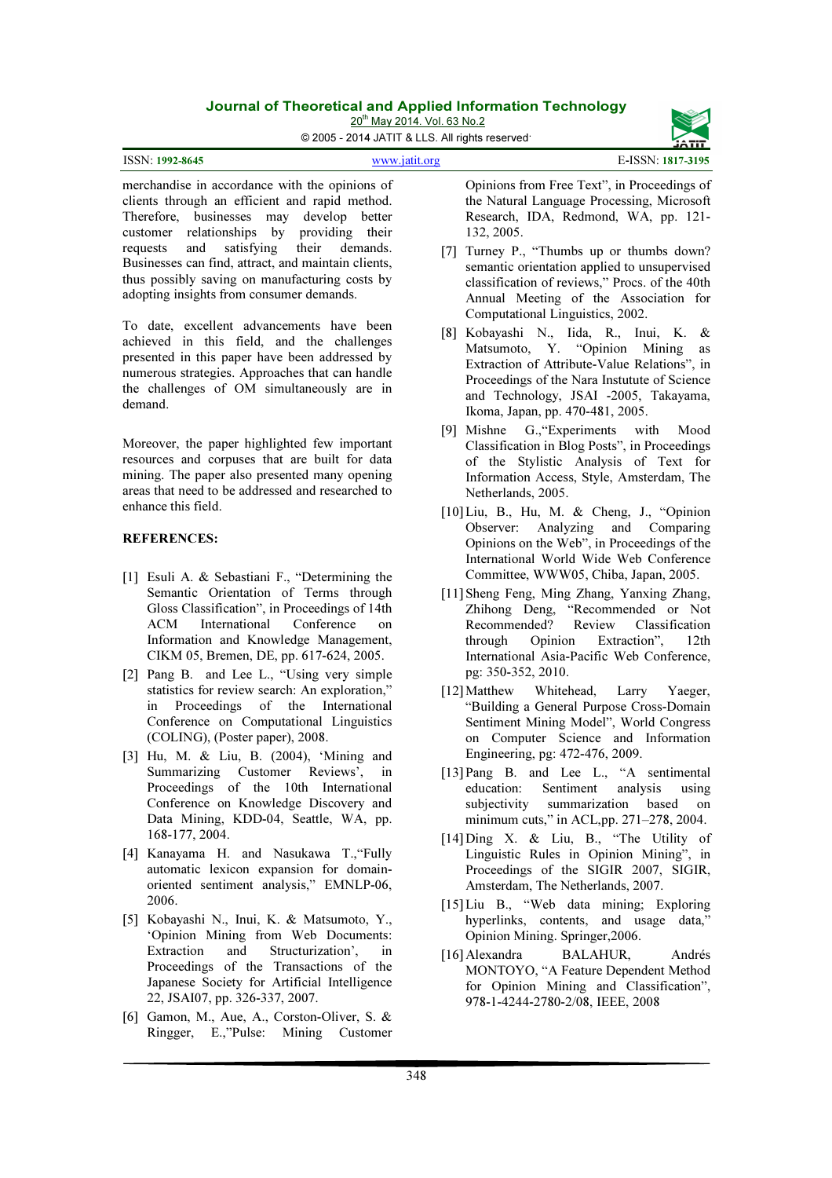20<sup>th</sup> May 2014. Vol. 63 No.2

© 2005 - 2014 JATIT & LLS. All rights reserved.

merchandise in accordance with the opinions of clients through an efficient and rapid method. Therefore, businesses may develop better customer relationships by providing their requests and satisfying their demands. Businesses can find, attract, and maintain clients, thus possibly saving on manufacturing costs by adopting insights from consumer demands.

To date, excellent advancements have been achieved in this field, and the challenges presented in this paper have been addressed by numerous strategies. Approaches that can handle the challenges of OM simultaneously are in demand.

Moreover, the paper highlighted few important resources and corpuses that are built for data mining. The paper also presented many opening areas that need to be addressed and researched to enhance this field.

### REFERENCES:

- [1] Esuli A. & Sebastiani F., "Determining the Semantic Orientation of Terms through Gloss Classification", in Proceedings of 14th ACM International Conference on Information and Knowledge Management, CIKM 05, Bremen, DE, pp. 617-624, 2005.
- [2] Pang B. and Lee L., "Using very simple statistics for review search: An exploration," in Proceedings of the International Conference on Computational Linguistics (COLING), (Poster paper), 2008.
- [3] Hu, M. & Liu, B. (2004), 'Mining and Summarizing Customer Reviews', in Proceedings of the 10th International Conference on Knowledge Discovery and Data Mining, KDD-04, Seattle, WA, pp. 168-177, 2004.
- [4] Kanayama H. and Nasukawa T.,"Fully automatic lexicon expansion for domainoriented sentiment analysis," EMNLP-06, 2006.
- [5] Kobayashi N., Inui, K. & Matsumoto, Y., 'Opinion Mining from Web Documents:<br>Extraction and Structurization', in and Structurization', in Proceedings of the Transactions of the Japanese Society for Artificial Intelligence 22, JSAI07, pp. 326-337, 2007.
- [6] Gamon, M., Aue, A., Corston-Oliver, S. & Ringger, E.,"Pulse: Mining Customer

Opinions from Free Text", in Proceedings of the Natural Language Processing, Microsoft Research, IDA, Redmond, WA, pp. 121- 132, 2005.

- [7] Turney P., "Thumbs up or thumbs down? semantic orientation applied to unsupervised classification of reviews," Procs. of the 40th Annual Meeting of the Association for Computational Linguistics, 2002.
- [8] Kobayashi N., Iida, R., Inui, K. & Matsumoto, Y. "Opinion Mining as Extraction of Attribute-Value Relations", in Proceedings of the Nara Instutute of Science and Technology, JSAI -2005, Takayama, Ikoma, Japan, pp. 470-481, 2005.
- [9] Mishne G.,"Experiments with Mood Classification in Blog Posts", in Proceedings of the Stylistic Analysis of Text for Information Access, Style, Amsterdam, The Netherlands, 2005.
- [10]Liu, B., Hu, M. & Cheng, J., "Opinion Observer: Analyzing and Comparing Opinions on the Web", in Proceedings of the International World Wide Web Conference Committee, WWW05, Chiba, Japan, 2005.
- [11]Sheng Feng, Ming Zhang, Yanxing Zhang, Zhihong Deng, "Recommended or Not Recommended? Review Classification through Opinion Extraction", 12th International Asia-Pacific Web Conference, pg: 350-352, 2010.
- [12] Matthew Whitehead, Larry Yaeger, "Building a General Purpose Cross-Domain Sentiment Mining Model", World Congress on Computer Science and Information Engineering, pg: 472-476, 2009.
- [13] Pang B. and Lee L., "A sentimental education: Sentiment analysis using subjectivity summarization based on minimum cuts," in ACL,pp. 271–278, 2004.
- [14]Ding X. & Liu, B., "The Utility of Linguistic Rules in Opinion Mining", in Proceedings of the SIGIR 2007, SIGIR, Amsterdam, The Netherlands, 2007.
- [15]Liu B., "Web data mining; Exploring hyperlinks, contents, and usage data," Opinion Mining. Springer,2006.
- [16]Alexandra BALAHUR, Andrés MONTOYO, "A Feature Dependent Method for Opinion Mining and Classification", 978-1-4244-2780-2/08, IEEE, 2008